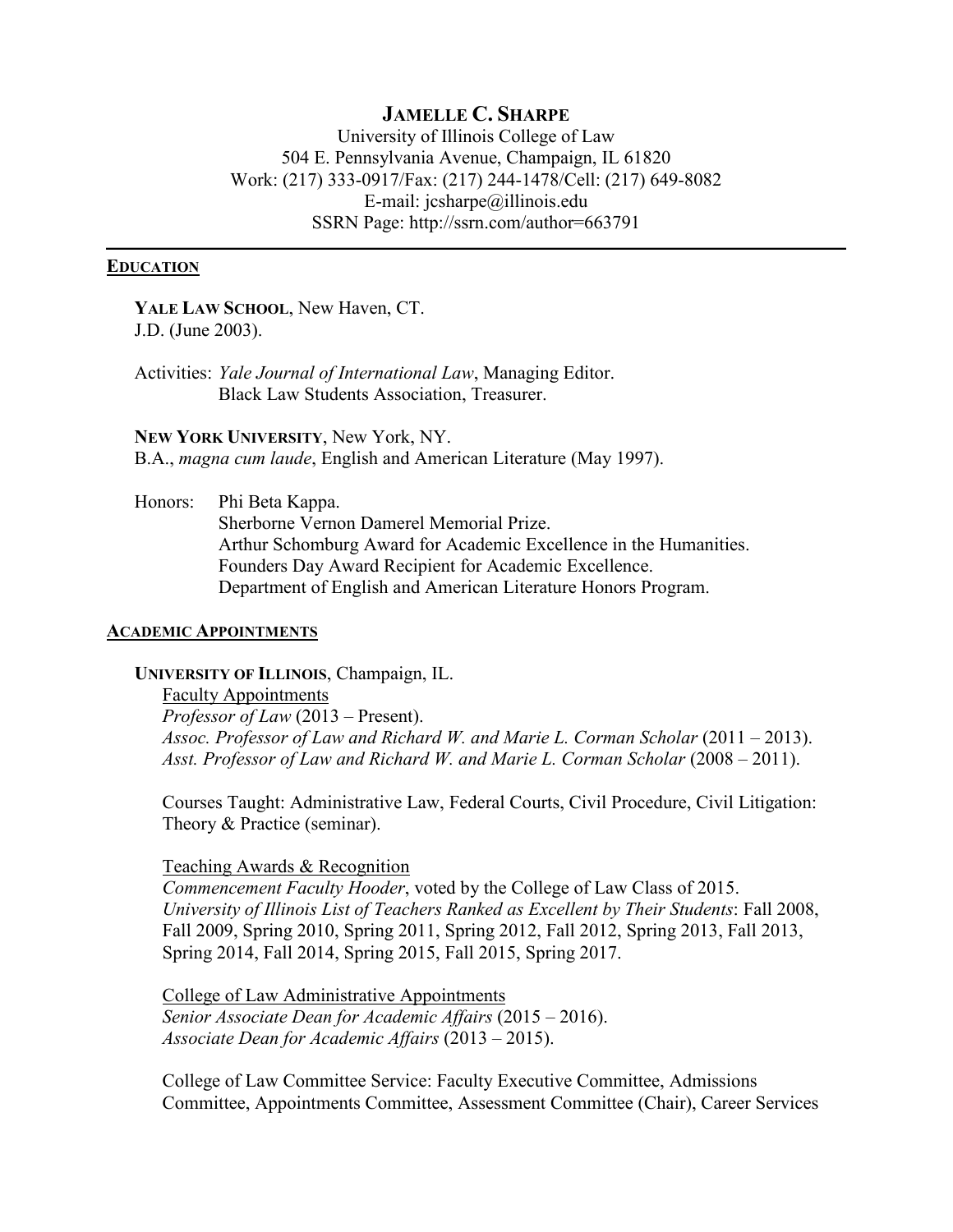# **JAMELLE C. SHARPE**

University of Illinois College of Law 504 E. Pennsylvania Avenue, Champaign, IL 61820 Work: (217) 333-0917/Fax: (217) 244-1478/Cell: (217) 649-8082 E-mail: jcsharpe@illinois.edu SSRN Page: http://ssrn.com/author=663791

#### **EDUCATION**

**YALE LAW SCHOOL**, New Haven, CT. J.D. (June 2003).

Activities: *Yale Journal of International Law*, Managing Editor. Black Law Students Association, Treasurer.

**NEW YORK UNIVERSITY**, New York, NY. B.A., *magna cum laude*, English and American Literature (May 1997).

Honors: Phi Beta Kappa. Sherborne Vernon Damerel Memorial Prize. Arthur Schomburg Award for Academic Excellence in the Humanities. Founders Day Award Recipient for Academic Excellence. Department of English and American Literature Honors Program.

#### **ACADEMIC APPOINTMENTS**

**UNIVERSITY OF ILLINOIS**, Champaign, IL.

Faculty Appointments *Professor of Law* (2013 – Present). Assoc. Professor of Law and Richard W. and Marie L. Corman Scholar (2011 – 2013). *Asst. Professor of Law and Richard W. and Marie L. Corman Scholar* (2008 – 2011).

Courses Taught: Administrative Law, Federal Courts, Civil Procedure, Civil Litigation: Theory & Practice (seminar).

Teaching Awards & Recognition

*Commencement Faculty Hooder*, voted by the College of Law Class of 2015. *University of Illinois List of Teachers Ranked as Excellent by Their Students*: Fall 2008, Fall 2009, Spring 2010, Spring 2011, Spring 2012, Fall 2012, Spring 2013, Fall 2013, Spring 2014, Fall 2014, Spring 2015, Fall 2015, Spring 2017.

College of Law Administrative Appointments *Senior Associate Dean for Academic Affairs* (2015 – 2016). *Associate Dean for Academic Affairs* (2013 – 2015).

College of Law Committee Service: Faculty Executive Committee, Admissions Committee, Appointments Committee, Assessment Committee (Chair), Career Services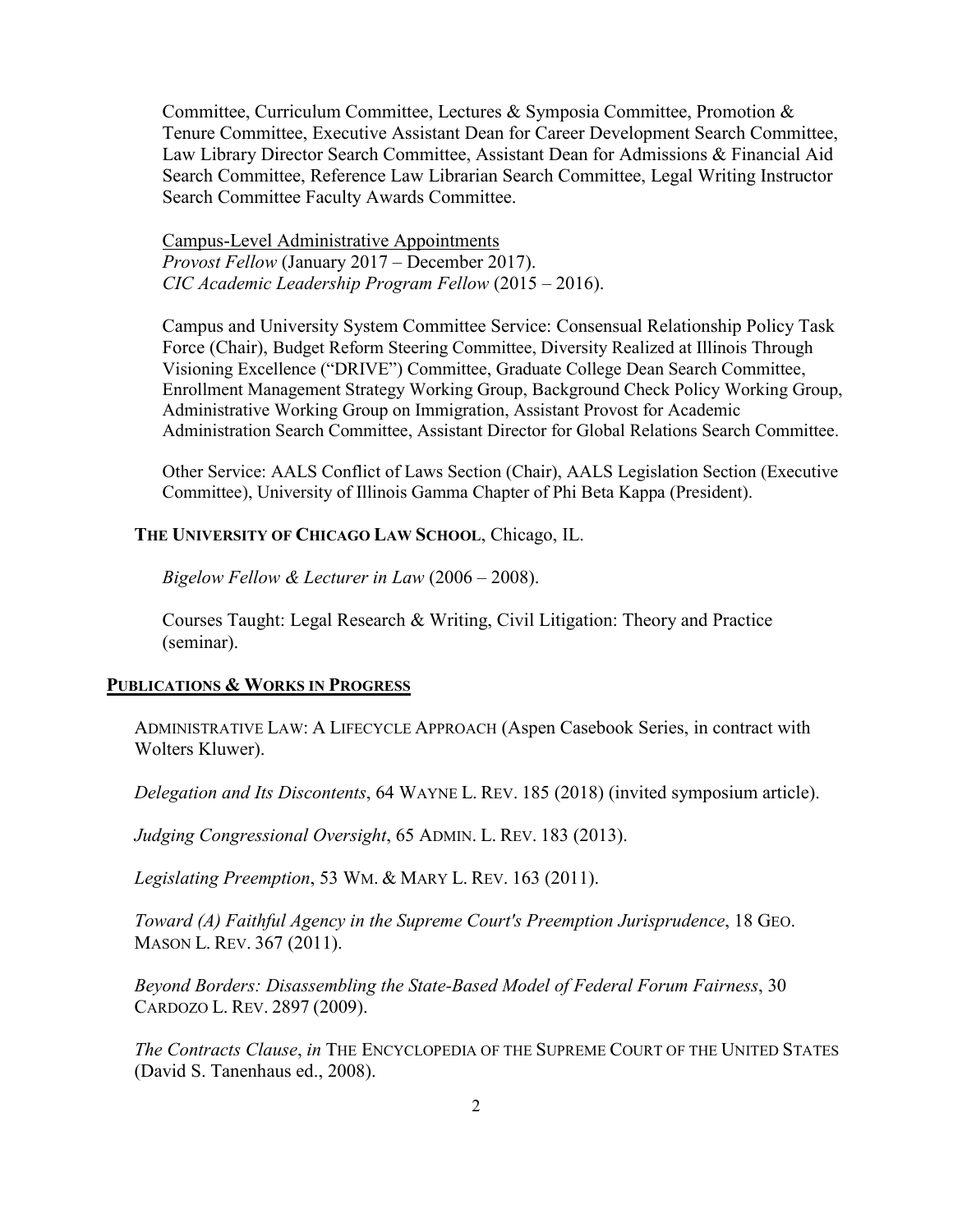Committee, Curriculum Committee, Lectures & Symposia Committee, Promotion & Tenure Committee, Executive Assistant Dean for Career Development Search Committee, Law Library Director Search Committee, Assistant Dean for Admissions & Financial Aid Search Committee, Reference Law Librarian Search Committee, Legal Writing Instructor Search Committee Faculty Awards Committee.

Campus-Level Administrative Appointments *Provost Fellow* (January 2017 – December 2017). *CIC Academic Leadership Program Fellow* (2015 – 2016).

Campus and University System Committee Service: Consensual Relationship Policy Task Force (Chair), Budget Reform Steering Committee, Diversity Realized at Illinois Through Visioning Excellence ("DRIVE") Committee, Graduate College Dean Search Committee, Enrollment Management Strategy Working Group, Background Check Policy Working Group, Administrative Working Group on Immigration, Assistant Provost for Academic Administration Search Committee, Assistant Director for Global Relations Search Committee.

Other Service: AALS Conflict of Laws Section (Chair), AALS Legislation Section (Executive Committee), University of Illinois Gamma Chapter of Phi Beta Kappa (President).

**THE UNIVERSITY OF CHICAGO LAW SCHOOL**, Chicago, IL.

*Bigelow Fellow & Lecturer in Law* (2006 – 2008).

Courses Taught: Legal Research & Writing, Civil Litigation: Theory and Practice (seminar).

#### **PUBLICATIONS & WORKS IN PROGRESS**

ADMINISTRATIVE LAW: A LIFECYCLE APPROACH (Aspen Casebook Series, in contract with Wolters Kluwer).

*Delegation and Its Discontents*, 64 WAYNE L. REV. 185 (2018) (invited symposium article).

*Judging Congressional Oversight*, 65 ADMIN. L. REV. 183 (2013).

*Legislating Preemption*, 53 WM. & MARY L. REV. 163 (2011).

*Toward (A) Faithful Agency in the Supreme Court's Preemption Jurisprudence*, 18 GEO. MASON L. REV. 367 (2011).

*Beyond Borders: Disassembling the State-Based Model of Federal Forum Fairness*, 30 CARDOZO L. REV. 2897 (2009).

*The Contracts Clause*, *in* THE ENCYCLOPEDIA OF THE SUPREME COURT OF THE UNITED STATES (David S. Tanenhaus ed., 2008).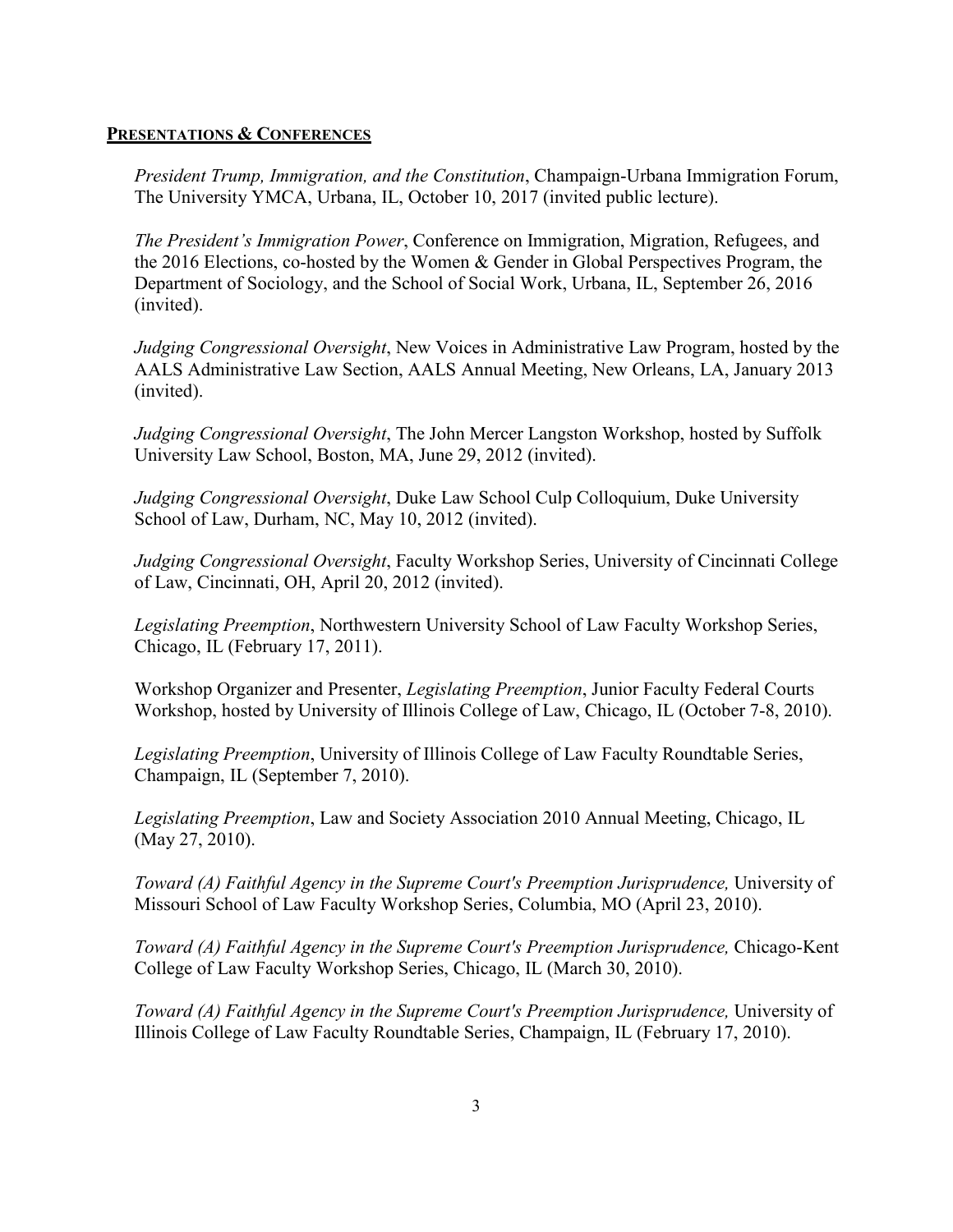### **PRESENTATIONS & CONFERENCES**

*President Trump, Immigration, and the Constitution*, Champaign-Urbana Immigration Forum, The University YMCA, Urbana, IL, October 10, 2017 (invited public lecture).

*The President's Immigration Power*, Conference on Immigration, Migration, Refugees, and the 2016 Elections, co-hosted by the Women & Gender in Global Perspectives Program, the Department of Sociology, and the School of Social Work, Urbana, IL, September 26, 2016 (invited).

*Judging Congressional Oversight*, New Voices in Administrative Law Program, hosted by the AALS Administrative Law Section, AALS Annual Meeting, New Orleans, LA, January 2013 (invited).

*Judging Congressional Oversight*, The John Mercer Langston Workshop, hosted by Suffolk University Law School, Boston, MA, June 29, 2012 (invited).

*Judging Congressional Oversight*, Duke Law School Culp Colloquium, Duke University School of Law, Durham, NC, May 10, 2012 (invited).

*Judging Congressional Oversight*, Faculty Workshop Series, University of Cincinnati College of Law, Cincinnati, OH, April 20, 2012 (invited).

*Legislating Preemption*, Northwestern University School of Law Faculty Workshop Series, Chicago, IL (February 17, 2011).

Workshop Organizer and Presenter, *Legislating Preemption*, Junior Faculty Federal Courts Workshop, hosted by University of Illinois College of Law, Chicago, IL (October 7-8, 2010).

*Legislating Preemption*, University of Illinois College of Law Faculty Roundtable Series, Champaign, IL (September 7, 2010).

*Legislating Preemption*, Law and Society Association 2010 Annual Meeting, Chicago, IL (May 27, 2010).

*Toward (A) Faithful Agency in the Supreme Court's Preemption Jurisprudence,* University of Missouri School of Law Faculty Workshop Series, Columbia, MO (April 23, 2010).

*Toward (A) Faithful Agency in the Supreme Court's Preemption Jurisprudence,* Chicago-Kent College of Law Faculty Workshop Series, Chicago, IL (March 30, 2010).

*Toward (A) Faithful Agency in the Supreme Court's Preemption Jurisprudence, University of* Illinois College of Law Faculty Roundtable Series, Champaign, IL (February 17, 2010).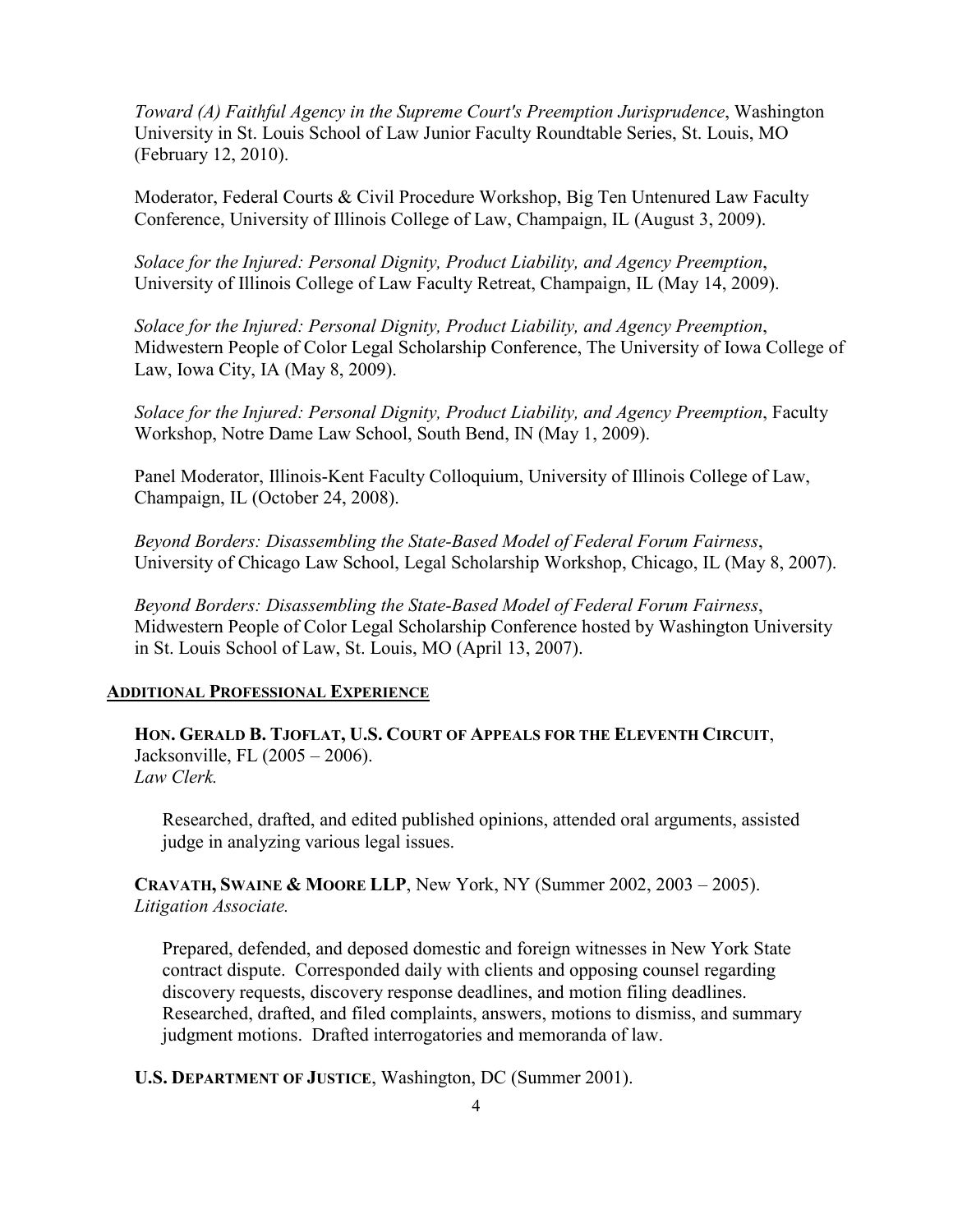*Toward (A) Faithful Agency in the Supreme Court's Preemption Jurisprudence*, Washington University in St. Louis School of Law Junior Faculty Roundtable Series, St. Louis, MO (February 12, 2010).

Moderator, Federal Courts & Civil Procedure Workshop, Big Ten Untenured Law Faculty Conference, University of Illinois College of Law, Champaign, IL (August 3, 2009).

*Solace for the Injured: Personal Dignity, Product Liability, and Agency Preemption*, University of Illinois College of Law Faculty Retreat, Champaign, IL (May 14, 2009).

*Solace for the Injured: Personal Dignity, Product Liability, and Agency Preemption*, Midwestern People of Color Legal Scholarship Conference, The University of Iowa College of Law, Iowa City, IA (May 8, 2009).

*Solace for the Injured: Personal Dignity, Product Liability, and Agency Preemption*, Faculty Workshop, Notre Dame Law School, South Bend, IN (May 1, 2009).

Panel Moderator, Illinois-Kent Faculty Colloquium, University of Illinois College of Law, Champaign, IL (October 24, 2008).

*Beyond Borders: Disassembling the State-Based Model of Federal Forum Fairness*, University of Chicago Law School, Legal Scholarship Workshop, Chicago, IL (May 8, 2007).

*Beyond Borders: Disassembling the State-Based Model of Federal Forum Fairness*, Midwestern People of Color Legal Scholarship Conference hosted by Washington University in St. Louis School of Law, St. Louis, MO (April 13, 2007).

## **ADDITIONAL PROFESSIONAL EXPERIENCE**

**HON. GERALD B. TJOFLAT, U.S. COURT OF APPEALS FOR THE ELEVENTH CIRCUIT**, Jacksonville, FL (2005 – 2006). *Law Clerk.*

Researched, drafted, and edited published opinions, attended oral arguments, assisted judge in analyzing various legal issues.

**CRAVATH, SWAINE & MOORE LLP**, New York, NY (Summer 2002, 2003 – 2005). *Litigation Associate.*

Prepared, defended, and deposed domestic and foreign witnesses in New York State contract dispute. Corresponded daily with clients and opposing counsel regarding discovery requests, discovery response deadlines, and motion filing deadlines. Researched, drafted, and filed complaints, answers, motions to dismiss, and summary judgment motions. Drafted interrogatories and memoranda of law.

**U.S. DEPARTMENT OF JUSTICE**, Washington, DC (Summer 2001).